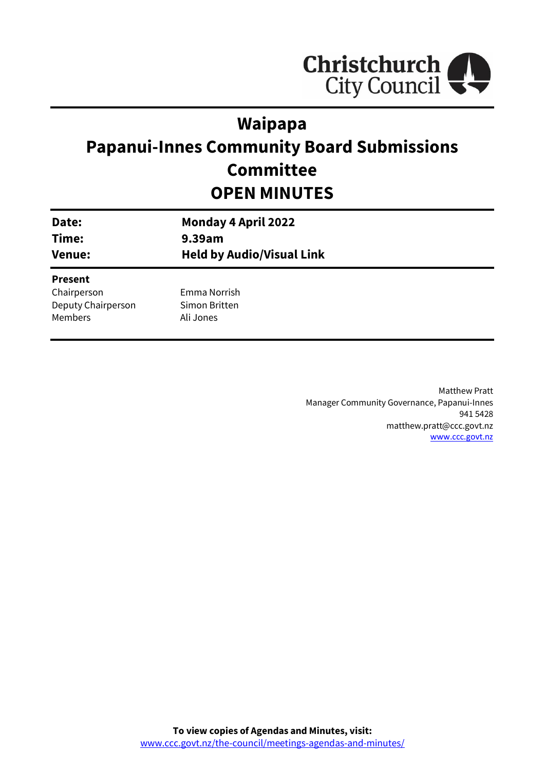

## **Waipapa**

# **Papanui-Innes Community Board Submissions Committee OPEN MINUTES**

| Date:                                                          | <b>Monday 4 April 2022</b>                 |
|----------------------------------------------------------------|--------------------------------------------|
| Time:                                                          | 9.39am                                     |
| <b>Venue:</b>                                                  | <b>Held by Audio/Visual Link</b>           |
| <b>Present</b><br>Chairperson<br>Deputy Chairperson<br>Members | Emma Norrish<br>Simon Britten<br>Ali Jones |

Matthew Pratt Manager Community Governance, Papanui-Innes 941 5428 matthew.pratt@ccc.govt.nz [www.ccc.govt.nz](http://www.ccc.govt.nz/)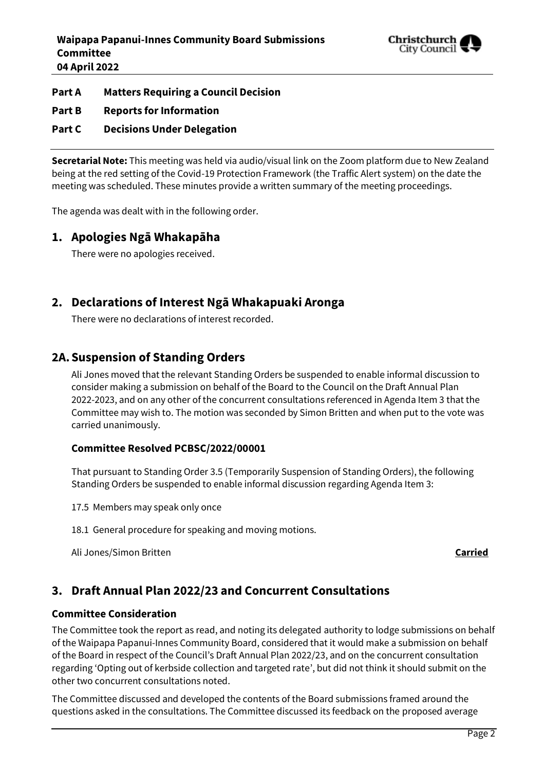

#### **Part A Matters Requiring a Council Decision**

**Part B Reports for Information**

#### **Part C Decisions Under Delegation**

**Secretarial Note:** This meeting was held via audio/visual link on the Zoom platform due to New Zealand being at the red setting of the Covid-19 Protection Framework (the Traffic Alert system) on the date the meeting was scheduled. These minutes provide a written summary of the meeting proceedings.

The agenda was dealt with in the following order.

## **1. Apologies Ngā Whakapāha**

There were no apologies received.

## **2. Declarations of Interest Ngā Whakapuaki Aronga**

There were no declarations of interest recorded.

## **2A.Suspension of Standing Orders**

Ali Jones moved that the relevant Standing Orders be suspended to enable informal discussion to consider making a submission on behalf of the Board to the Council on the Draft Annual Plan 2022-2023, and on any other of the concurrent consultations referenced in Agenda Item 3 that the Committee may wish to. The motion was seconded by Simon Britten and when put to the vote was carried unanimously.

#### **Committee Resolved PCBSC/2022/00001**

That pursuant to Standing Order 3.5 (Temporarily Suspension of Standing Orders), the following Standing Orders be suspended to enable informal discussion regarding Agenda Item 3:

17.5 Members may speak only once

18.1 General procedure for speaking and moving motions.

Ali Jones/Simon Britten **Carried**

## **3. Draft Annual Plan 2022/23 and Concurrent Consultations**

#### **Committee Consideration**

The Committee took the report as read, and noting its delegated authority to lodge submissions on behalf of the Waipapa Papanui-Innes Community Board, considered that it would make a submission on behalf of the Board in respect of the Council's Draft Annual Plan 2022/23, and on the concurrent consultation regarding 'Opting out of kerbside collection and targeted rate', but did not think it should submit on the other two concurrent consultations noted.

The Committee discussed and developed the contents of the Board submissions framed around the questions asked in the consultations. The Committee discussed its feedback on the proposed average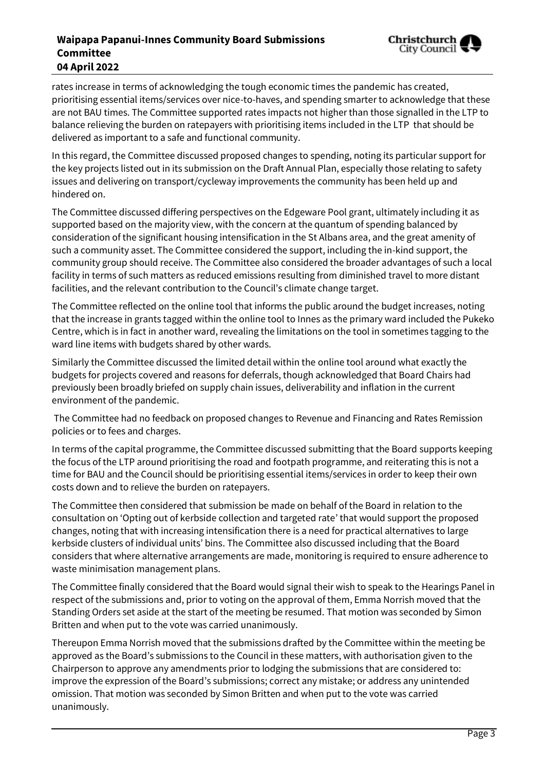### **Waipapa Papanui-Innes Community Board Submissions Committee 04 April 2022**



rates increase in terms of acknowledging the tough economic times the pandemic has created, prioritising essential items/services over nice-to-haves, and spending smarter to acknowledge that these are not BAU times. The Committee supported rates impacts not higher than those signalled in the LTP to balance relieving the burden on ratepayers with prioritising items included in the LTP that should be delivered as important to a safe and functional community.

In this regard, the Committee discussed proposed changes to spending, noting its particular support for the key projects listed out in its submission on the Draft Annual Plan, especially those relating to safety issues and delivering on transport/cycleway improvements the community has been held up and hindered on.

The Committee discussed differing perspectives on the Edgeware Pool grant, ultimately including it as supported based on the majority view, with the concern at the quantum of spending balanced by consideration of the significant housing intensification in the St Albans area, and the great amenity of such a community asset. The Committee considered the support, including the in-kind support, the community group should receive. The Committee also considered the broader advantages of such a local facility in terms of such matters as reduced emissions resulting from diminished travel to more distant facilities, and the relevant contribution to the Council's climate change target.

The Committee reflected on the online tool that informs the public around the budget increases, noting that the increase in grants tagged within the online tool to Innes as the primary ward included the Pukeko Centre, which is in fact in another ward, revealing the limitations on the tool in sometimes tagging to the ward line items with budgets shared by other wards.

Similarly the Committee discussed the limited detail within the online tool around what exactly the budgets for projects covered and reasons for deferrals, though acknowledged that Board Chairs had previously been broadly briefed on supply chain issues, deliverability and inflation in the current environment of the pandemic.

The Committee had no feedback on proposed changes to Revenue and Financing and Rates Remission policies or to fees and charges.

In terms of the capital programme, the Committee discussed submitting that the Board supports keeping the focus of the LTP around prioritising the road and footpath programme, and reiterating this is not a time for BAU and the Council should be prioritising essential items/services in order to keep their own costs down and to relieve the burden on ratepayers.

The Committee then considered that submission be made on behalf of the Board in relation to the consultation on 'Opting out of kerbside collection and targeted rate' that would support the proposed changes, noting that with increasing intensification there is a need for practical alternatives to large kerbside clusters of individual units' bins. The Committee also discussed including that the Board considers that where alternative arrangements are made, monitoring is required to ensure adherence to waste minimisation management plans.

The Committee finally considered that the Board would signal their wish to speak to the Hearings Panel in respect of the submissions and, prior to voting on the approval of them, Emma Norrish moved that the Standing Orders set aside at the start of the meeting be resumed. That motion was seconded by Simon Britten and when put to the vote was carried unanimously.

Thereupon Emma Norrish moved that the submissions drafted by the Committee within the meeting be approved as the Board's submissions to the Council in these matters, with authorisation given to the Chairperson to approve any amendments prior to lodging the submissions that are considered to: improve the expression of the Board's submissions; correct any mistake; or address any unintended omission. That motion was seconded by Simon Britten and when put to the vote was carried unanimously.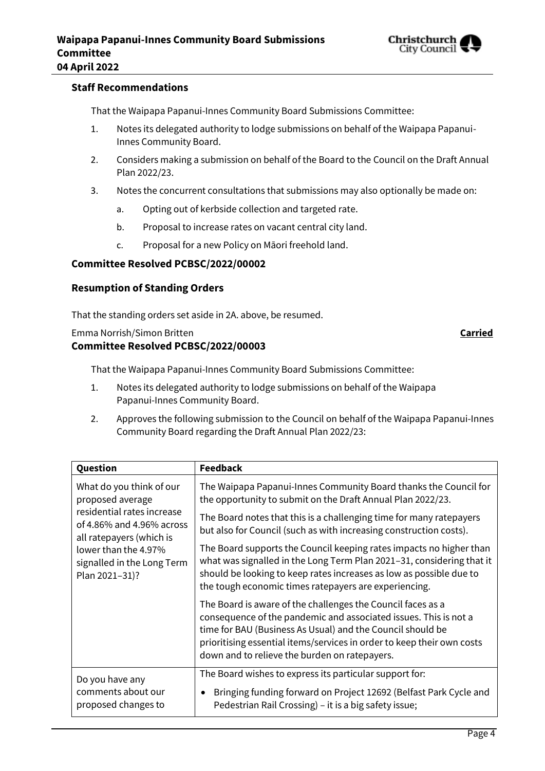

#### **Staff Recommendations**

That the Waipapa Papanui-Innes Community Board Submissions Committee:

- 1. Notes its delegated authority to lodge submissions on behalf of the Waipapa Papanui-Innes Community Board.
- 2. Considers making a submission on behalf of the Board to the Council on the Draft Annual Plan 2022/23.
- 3. Notes the concurrent consultations that submissions may also optionally be made on:
	- a. Opting out of kerbside collection and targeted rate.
	- b. Proposal to increase rates on vacant central city land.
	- c. Proposal for a new Policy on Māori freehold land.

#### **Committee Resolved PCBSC/2022/00002**

#### **Resumption of Standing Orders**

That the standing orders set aside in 2A. above, be resumed.

#### Emma Norrish/Simon Britten **Carried**

#### **Committee Resolved PCBSC/2022/00003**

That the Waipapa Papanui-Innes Community Board Submissions Committee:

- 1. Notes its delegated authority to lodge submissions on behalf of the Waipapa Papanui-Innes Community Board.
- 2. Approves the following submission to the Council on behalf of the Waipapa Papanui-Innes Community Board regarding the Draft Annual Plan 2022/23:

| Question                   | <b>Feedback</b>                                                                                                                                                                                                                                                                                                          |
|----------------------------|--------------------------------------------------------------------------------------------------------------------------------------------------------------------------------------------------------------------------------------------------------------------------------------------------------------------------|
| What do you think of our   | The Waipapa Papanui-Innes Community Board thanks the Council for                                                                                                                                                                                                                                                         |
| proposed average           | the opportunity to submit on the Draft Annual Plan 2022/23.                                                                                                                                                                                                                                                              |
| residential rates increase | The Board notes that this is a challenging time for many ratepayers                                                                                                                                                                                                                                                      |
| of 4.86% and 4.96% across  | but also for Council (such as with increasing construction costs).                                                                                                                                                                                                                                                       |
| all ratepayers (which is   | The Board supports the Council keeping rates impacts no higher than                                                                                                                                                                                                                                                      |
| lower than the 4.97%       | what was signalled in the Long Term Plan 2021-31, considering that it                                                                                                                                                                                                                                                    |
| signalled in the Long Term | should be looking to keep rates increases as low as possible due to                                                                                                                                                                                                                                                      |
| Plan 2021-31)?             | the tough economic times ratepayers are experiencing.                                                                                                                                                                                                                                                                    |
|                            | The Board is aware of the challenges the Council faces as a<br>consequence of the pandemic and associated issues. This is not a<br>time for BAU (Business As Usual) and the Council should be<br>prioritising essential items/services in order to keep their own costs<br>down and to relieve the burden on ratepayers. |
| Do you have any            | The Board wishes to express its particular support for:                                                                                                                                                                                                                                                                  |
| comments about our         | Bringing funding forward on Project 12692 (Belfast Park Cycle and                                                                                                                                                                                                                                                        |
| proposed changes to        | Pedestrian Rail Crossing) – it is a big safety issue;                                                                                                                                                                                                                                                                    |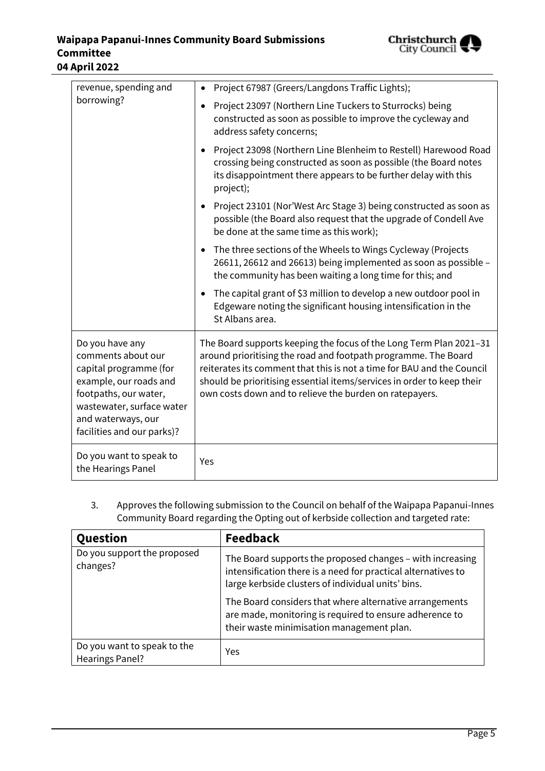

| revenue, spending and<br>borrowing?                                                                                                                                                                 | Project 67987 (Greers/Langdons Traffic Lights);<br>$\bullet$                                                                                                                                                                                                                                                                                        |  |
|-----------------------------------------------------------------------------------------------------------------------------------------------------------------------------------------------------|-----------------------------------------------------------------------------------------------------------------------------------------------------------------------------------------------------------------------------------------------------------------------------------------------------------------------------------------------------|--|
|                                                                                                                                                                                                     | Project 23097 (Northern Line Tuckers to Sturrocks) being<br>٠<br>constructed as soon as possible to improve the cycleway and<br>address safety concerns;                                                                                                                                                                                            |  |
|                                                                                                                                                                                                     | Project 23098 (Northern Line Blenheim to Restell) Harewood Road<br>$\bullet$<br>crossing being constructed as soon as possible (the Board notes<br>its disappointment there appears to be further delay with this<br>project);                                                                                                                      |  |
|                                                                                                                                                                                                     | Project 23101 (Nor'West Arc Stage 3) being constructed as soon as<br>$\bullet$<br>possible (the Board also request that the upgrade of Condell Ave<br>be done at the same time as this work);                                                                                                                                                       |  |
|                                                                                                                                                                                                     | The three sections of the Wheels to Wings Cycleway (Projects<br>$\bullet$<br>26611, 26612 and 26613) being implemented as soon as possible -<br>the community has been waiting a long time for this; and                                                                                                                                            |  |
|                                                                                                                                                                                                     | The capital grant of \$3 million to develop a new outdoor pool in<br>$\bullet$<br>Edgeware noting the significant housing intensification in the<br>St Albans area.                                                                                                                                                                                 |  |
| Do you have any<br>comments about our<br>capital programme (for<br>example, our roads and<br>footpaths, our water,<br>wastewater, surface water<br>and waterways, our<br>facilities and our parks)? | The Board supports keeping the focus of the Long Term Plan 2021-31<br>around prioritising the road and footpath programme. The Board<br>reiterates its comment that this is not a time for BAU and the Council<br>should be prioritising essential items/services in order to keep their<br>own costs down and to relieve the burden on ratepayers. |  |
| Do you want to speak to<br>the Hearings Panel                                                                                                                                                       | Yes                                                                                                                                                                                                                                                                                                                                                 |  |

3. Approves the following submission to the Council on behalf of the Waipapa Papanui-Innes Community Board regarding the Opting out of kerbside collection and targeted rate:

| Question                                              | <b>Feedback</b>                                                                                                                                                                  |
|-------------------------------------------------------|----------------------------------------------------------------------------------------------------------------------------------------------------------------------------------|
| Do you support the proposed<br>changes?               | The Board supports the proposed changes - with increasing<br>intensification there is a need for practical alternatives to<br>large kerbside clusters of individual units' bins. |
|                                                       | The Board considers that where alternative arrangements<br>are made, monitoring is required to ensure adherence to<br>their waste minimisation management plan.                  |
| Do you want to speak to the<br><b>Hearings Panel?</b> | Yes                                                                                                                                                                              |